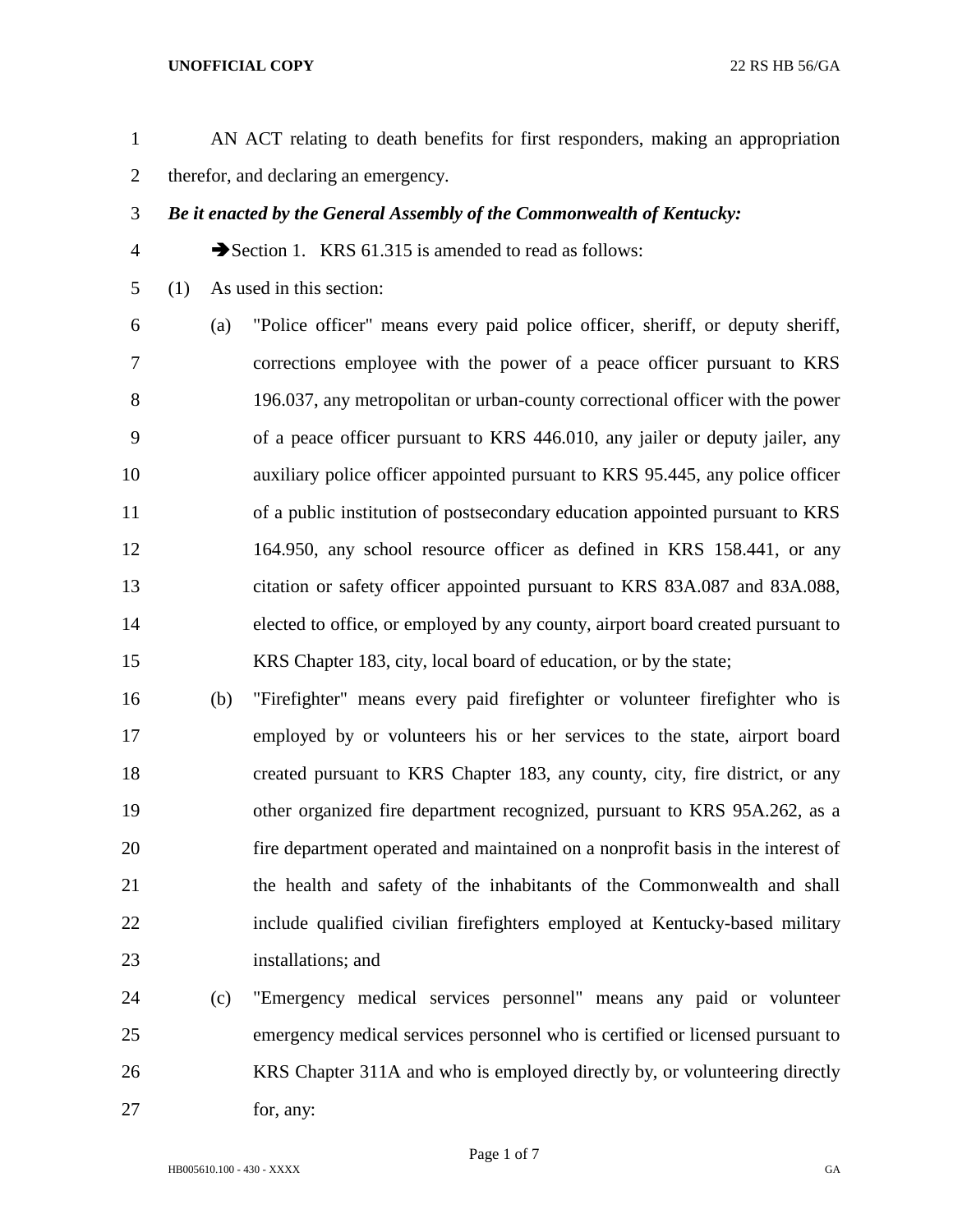## **UNOFFICIAL COPY** 22 RS HB 56/GA

- AN ACT relating to death benefits for first responders, making an appropriation therefor, and declaring an emergency.
- *Be it enacted by the General Assembly of the Commonwealth of Kentucky:*
- 4 Section 1. KRS 61.315 is amended to read as follows:
- (1) As used in this section:

 (a) "Police officer" means every paid police officer, sheriff, or deputy sheriff, corrections employee with the power of a peace officer pursuant to KRS 196.037, any metropolitan or urban-county correctional officer with the power of a peace officer pursuant to KRS 446.010, any jailer or deputy jailer, any auxiliary police officer appointed pursuant to KRS 95.445, any police officer of a public institution of postsecondary education appointed pursuant to KRS 164.950, any school resource officer as defined in KRS 158.441, or any citation or safety officer appointed pursuant to KRS 83A.087 and 83A.088, elected to office, or employed by any county, airport board created pursuant to KRS Chapter 183, city, local board of education, or by the state;

- (b) "Firefighter" means every paid firefighter or volunteer firefighter who is employed by or volunteers his or her services to the state, airport board created pursuant to KRS Chapter 183, any county, city, fire district, or any other organized fire department recognized, pursuant to KRS 95A.262, as a fire department operated and maintained on a nonprofit basis in the interest of the health and safety of the inhabitants of the Commonwealth and shall include qualified civilian firefighters employed at Kentucky-based military installations; and
- (c) "Emergency medical services personnel" means any paid or volunteer emergency medical services personnel who is certified or licensed pursuant to KRS Chapter 311A and who is employed directly by, or volunteering directly 27 for, any: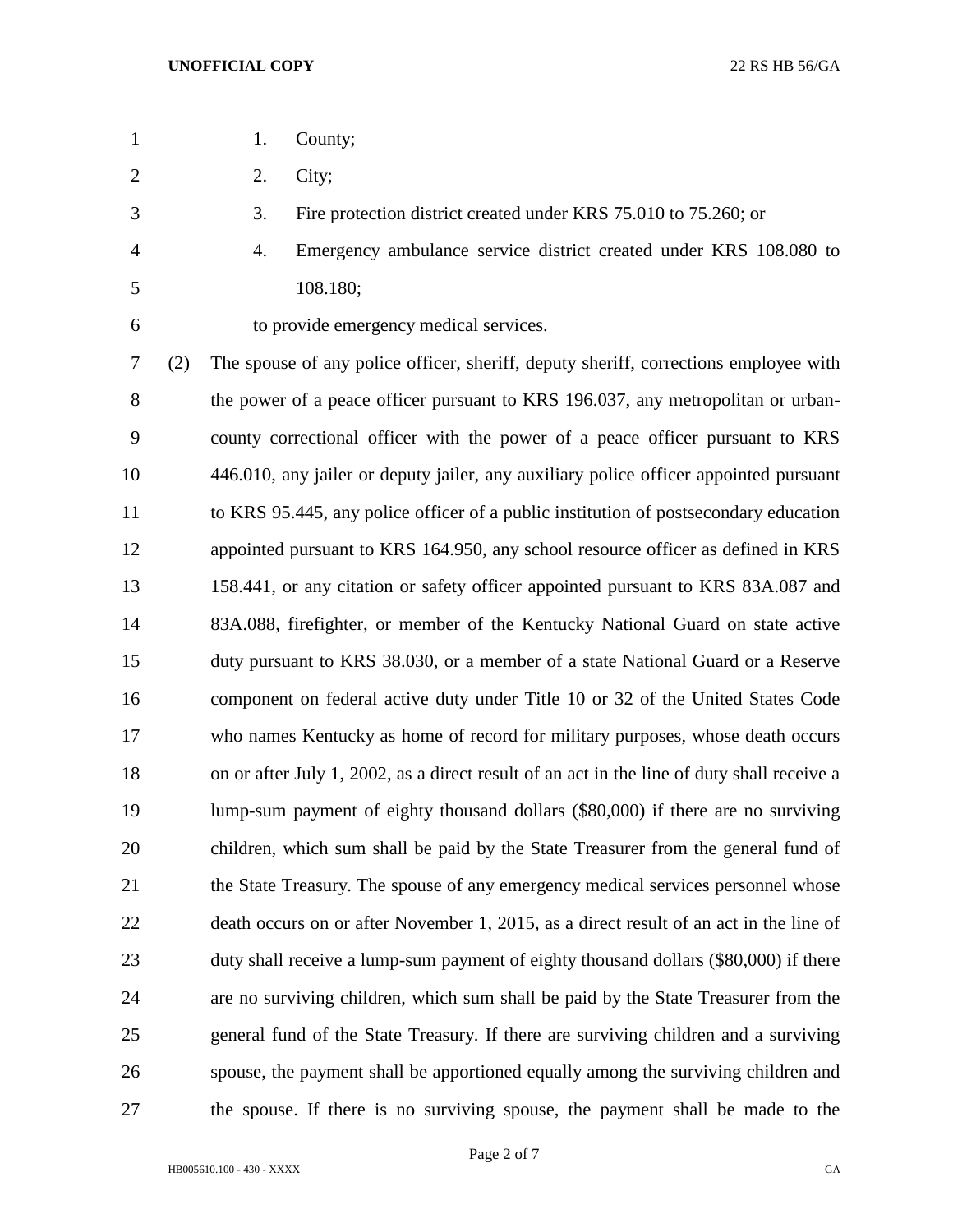- 1. County;
- 2. City;
- 3. Fire protection district created under KRS 75.010 to 75.260; or
- 4. Emergency ambulance service district created under KRS 108.080 to 108.180;
- 

to provide emergency medical services.

 (2) The spouse of any police officer, sheriff, deputy sheriff, corrections employee with 8 the power of a peace officer pursuant to KRS 196.037, any metropolitan or urban- county correctional officer with the power of a peace officer pursuant to KRS 446.010, any jailer or deputy jailer, any auxiliary police officer appointed pursuant to KRS 95.445, any police officer of a public institution of postsecondary education appointed pursuant to KRS 164.950, any school resource officer as defined in KRS 158.441, or any citation or safety officer appointed pursuant to KRS 83A.087 and 83A.088, firefighter, or member of the Kentucky National Guard on state active duty pursuant to KRS 38.030, or a member of a state National Guard or a Reserve component on federal active duty under Title 10 or 32 of the United States Code who names Kentucky as home of record for military purposes, whose death occurs on or after July 1, 2002, as a direct result of an act in the line of duty shall receive a lump-sum payment of eighty thousand dollars (\$80,000) if there are no surviving children, which sum shall be paid by the State Treasurer from the general fund of the State Treasury. The spouse of any emergency medical services personnel whose death occurs on or after November 1, 2015, as a direct result of an act in the line of duty shall receive a lump-sum payment of eighty thousand dollars (\$80,000) if there are no surviving children, which sum shall be paid by the State Treasurer from the general fund of the State Treasury. If there are surviving children and a surviving spouse, the payment shall be apportioned equally among the surviving children and the spouse. If there is no surviving spouse, the payment shall be made to the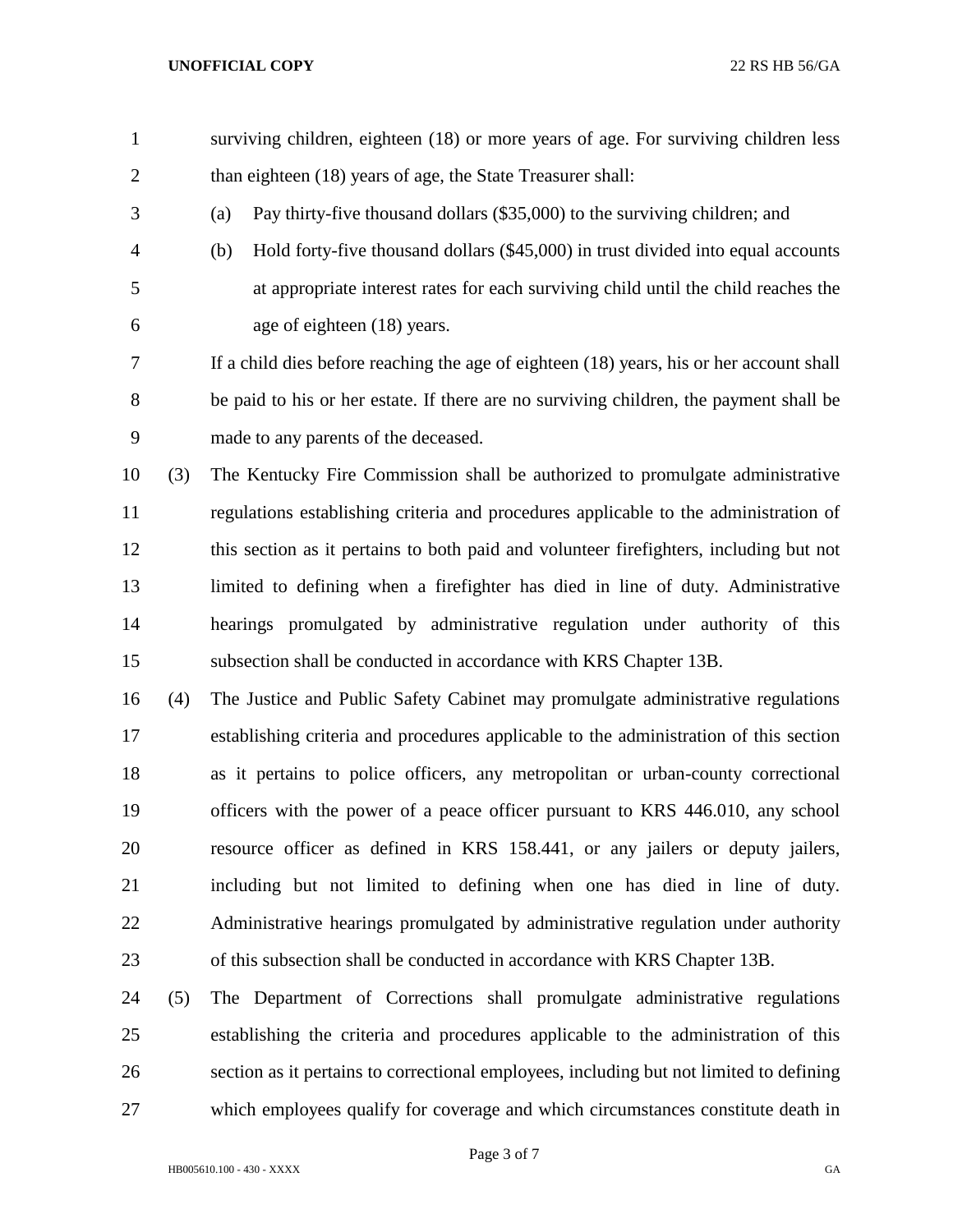- surviving children, eighteen (18) or more years of age. For surviving children less 2 than eighteen (18) years of age, the State Treasurer shall:
- (a) Pay thirty-five thousand dollars (\$35,000) to the surviving children; and
- (b) Hold forty-five thousand dollars (\$45,000) in trust divided into equal accounts at appropriate interest rates for each surviving child until the child reaches the age of eighteen (18) years.

 If a child dies before reaching the age of eighteen (18) years, his or her account shall be paid to his or her estate. If there are no surviving children, the payment shall be made to any parents of the deceased.

 (3) The Kentucky Fire Commission shall be authorized to promulgate administrative regulations establishing criteria and procedures applicable to the administration of this section as it pertains to both paid and volunteer firefighters, including but not limited to defining when a firefighter has died in line of duty. Administrative hearings promulgated by administrative regulation under authority of this subsection shall be conducted in accordance with KRS Chapter 13B.

 (4) The Justice and Public Safety Cabinet may promulgate administrative regulations establishing criteria and procedures applicable to the administration of this section as it pertains to police officers, any metropolitan or urban-county correctional officers with the power of a peace officer pursuant to KRS 446.010, any school resource officer as defined in KRS 158.441, or any jailers or deputy jailers, including but not limited to defining when one has died in line of duty. Administrative hearings promulgated by administrative regulation under authority of this subsection shall be conducted in accordance with KRS Chapter 13B.

 (5) The Department of Corrections shall promulgate administrative regulations establishing the criteria and procedures applicable to the administration of this section as it pertains to correctional employees, including but not limited to defining which employees qualify for coverage and which circumstances constitute death in

Page 3 of 7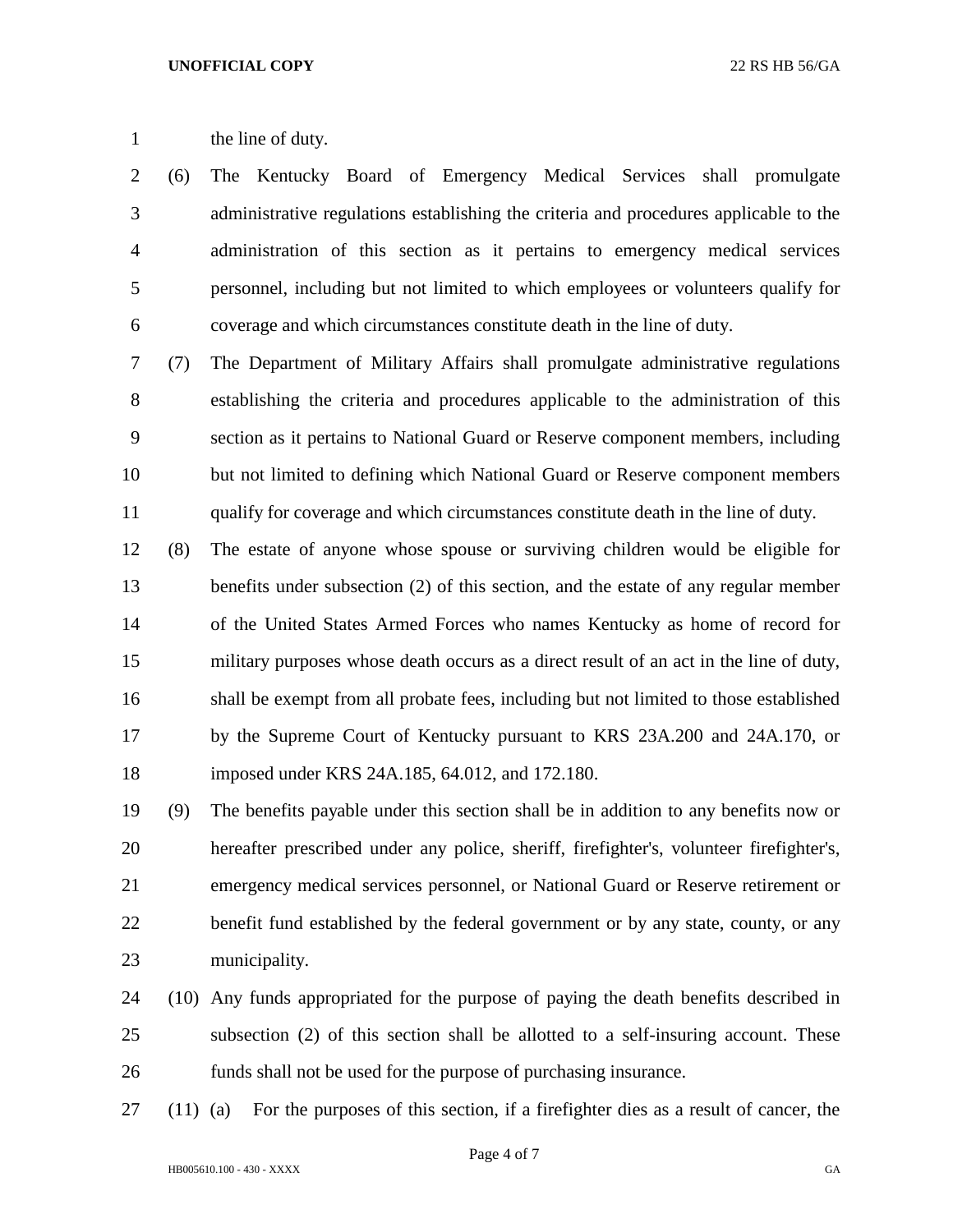## 1 the line of duty.

 (6) The Kentucky Board of Emergency Medical Services shall promulgate administrative regulations establishing the criteria and procedures applicable to the administration of this section as it pertains to emergency medical services personnel, including but not limited to which employees or volunteers qualify for coverage and which circumstances constitute death in the line of duty.

 (7) The Department of Military Affairs shall promulgate administrative regulations establishing the criteria and procedures applicable to the administration of this section as it pertains to National Guard or Reserve component members, including but not limited to defining which National Guard or Reserve component members qualify for coverage and which circumstances constitute death in the line of duty.

 (8) The estate of anyone whose spouse or surviving children would be eligible for benefits under subsection (2) of this section, and the estate of any regular member of the United States Armed Forces who names Kentucky as home of record for military purposes whose death occurs as a direct result of an act in the line of duty, shall be exempt from all probate fees, including but not limited to those established by the Supreme Court of Kentucky pursuant to KRS 23A.200 and 24A.170, or imposed under KRS 24A.185, 64.012, and 172.180.

 (9) The benefits payable under this section shall be in addition to any benefits now or hereafter prescribed under any police, sheriff, firefighter's, volunteer firefighter's, emergency medical services personnel, or National Guard or Reserve retirement or benefit fund established by the federal government or by any state, county, or any municipality.

- (10) Any funds appropriated for the purpose of paying the death benefits described in subsection (2) of this section shall be allotted to a self-insuring account. These funds shall not be used for the purpose of purchasing insurance.
- (11) (a) For the purposes of this section, if a firefighter dies as a result of cancer, the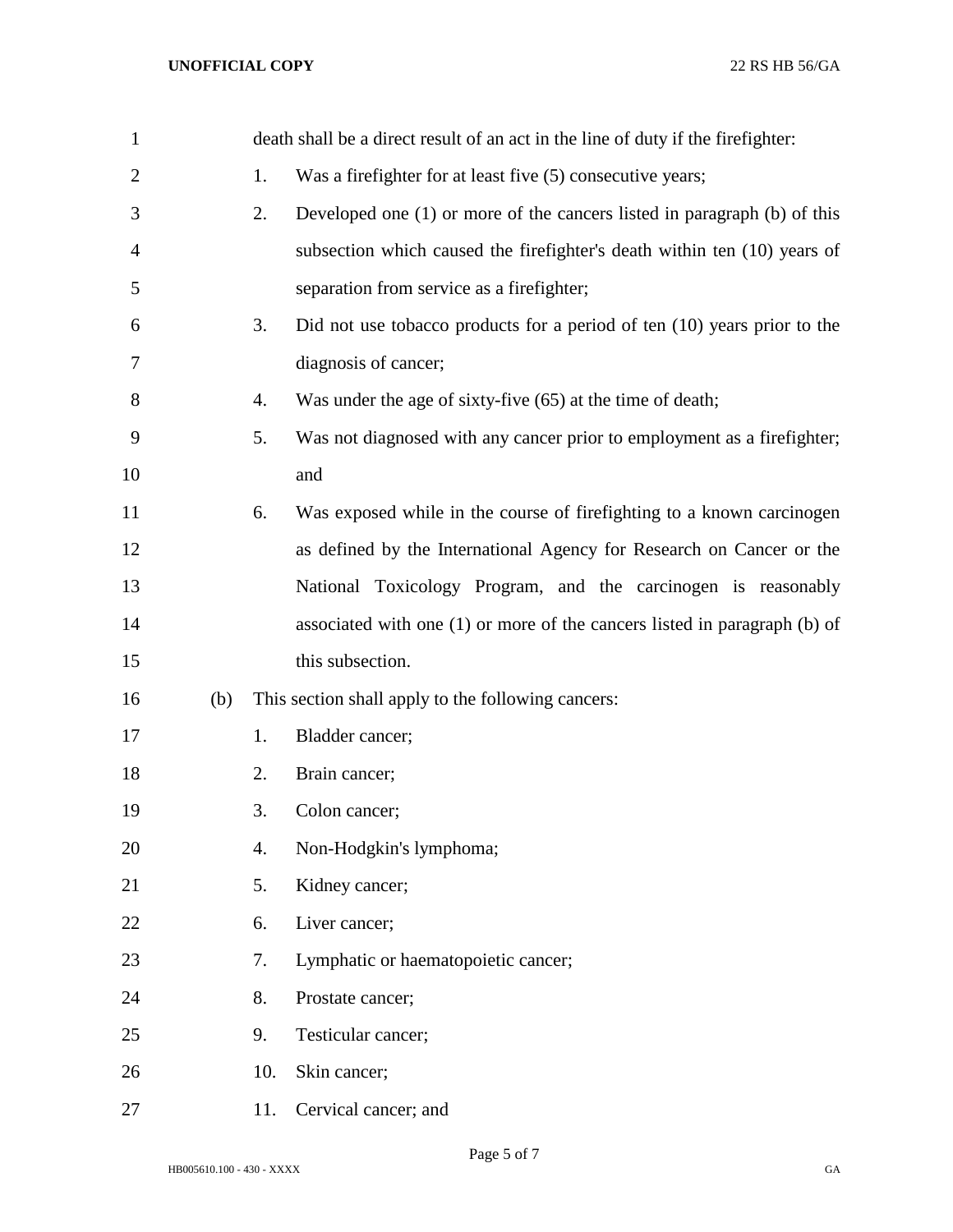| $\mathbf{1}$   |     |     | death shall be a direct result of an act in the line of duty if the firefighter: |
|----------------|-----|-----|----------------------------------------------------------------------------------|
| $\overline{2}$ |     | 1.  | Was a firefighter for at least five (5) consecutive years;                       |
| 3              |     | 2.  | Developed one $(1)$ or more of the cancers listed in paragraph $(b)$ of this     |
| 4              |     |     | subsection which caused the firefighter's death within ten (10) years of         |
| 5              |     |     | separation from service as a firefighter;                                        |
| 6              |     | 3.  | Did not use tobacco products for a period of ten $(10)$ years prior to the       |
| 7              |     |     | diagnosis of cancer;                                                             |
| 8              |     | 4.  | Was under the age of sixty-five (65) at the time of death;                       |
| 9              |     | 5.  | Was not diagnosed with any cancer prior to employment as a firefighter;          |
| 10             |     |     | and                                                                              |
| 11             |     | 6.  | Was exposed while in the course of firefighting to a known carcinogen            |
| 12             |     |     | as defined by the International Agency for Research on Cancer or the             |
| 13             |     |     | National Toxicology Program, and the carcinogen is reasonably                    |
| 14             |     |     | associated with one $(1)$ or more of the cancers listed in paragraph $(b)$ of    |
| 15             |     |     | this subsection.                                                                 |
| 16             | (b) |     | This section shall apply to the following cancers:                               |
| 17             |     | 1.  | Bladder cancer;                                                                  |
| 18             |     | 2.  | Brain cancer;                                                                    |
| 19             |     | 3.  | Colon cancer;                                                                    |
| 20             |     | 4.  | Non-Hodgkin's lymphoma;                                                          |
| 21             |     | 5.  | Kidney cancer;                                                                   |
| 22             |     | 6.  | Liver cancer;                                                                    |
| 23             |     | 7.  | Lymphatic or haematopoietic cancer;                                              |
| 24             |     | 8.  | Prostate cancer;                                                                 |
| 25             |     | 9.  | Testicular cancer;                                                               |
| 26             |     | 10. | Skin cancer;                                                                     |
| 27             |     | 11. | Cervical cancer; and                                                             |

Page 5 of 7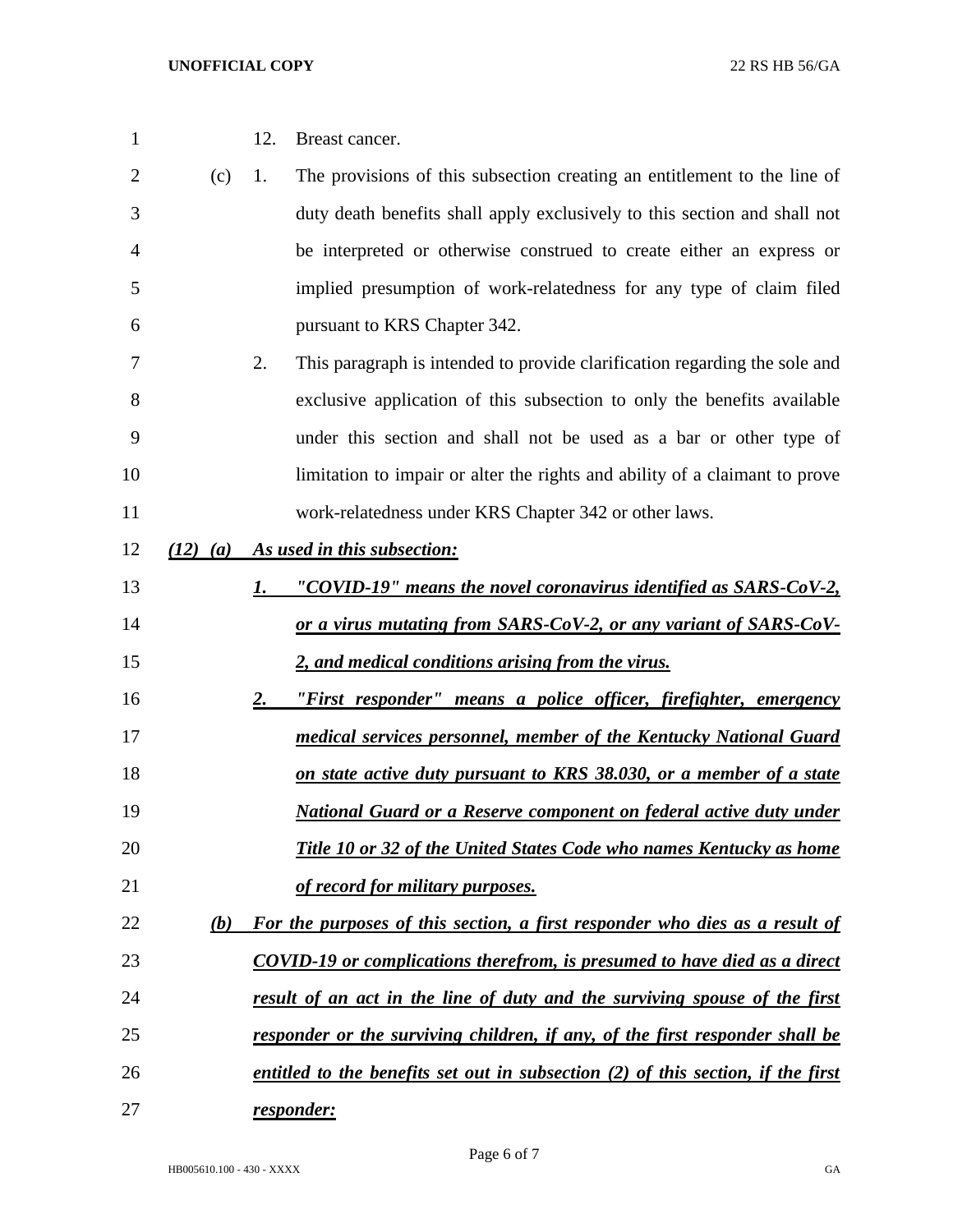| $\mathbf{1}$   |              | 12. | Breast cancer.                                                                   |
|----------------|--------------|-----|----------------------------------------------------------------------------------|
| $\overline{2}$ | (c)          | 1.  | The provisions of this subsection creating an entitlement to the line of         |
| 3              |              |     | duty death benefits shall apply exclusively to this section and shall not        |
| 4              |              |     | be interpreted or otherwise construed to create either an express or             |
| 5              |              |     | implied presumption of work-relatedness for any type of claim filed              |
| 6              |              |     | pursuant to KRS Chapter 342.                                                     |
| 7              |              | 2.  | This paragraph is intended to provide clarification regarding the sole and       |
| 8              |              |     | exclusive application of this subsection to only the benefits available          |
| 9              |              |     | under this section and shall not be used as a bar or other type of               |
| 10             |              |     | limitation to impair or alter the rights and ability of a claimant to prove      |
| 11             |              |     | work-relatedness under KRS Chapter 342 or other laws.                            |
| 12             | $(12)$ $(a)$ |     | As used in this subsection:                                                      |
| 13             |              | 1.  | "COVID-19" means the novel coronavirus identified as SARS-CoV-2,                 |
| 14             |              |     | or a virus mutating from SARS-CoV-2, or any variant of SARS-CoV-                 |
| 15             |              |     | 2, and medical conditions arising from the virus.                                |
| 16             |              | 2.  | "First responder" means a police officer, firefighter, emergency                 |
| 17             |              |     | medical services personnel, member of the Kentucky National Guard                |
| 18             |              |     | on state active duty pursuant to KRS 38.030, or a member of a state              |
| 19             |              |     | National Guard or a Reserve component on federal active duty under               |
| 20             |              |     | Title 10 or 32 of the United States Code who names Kentucky as home              |
| 21             |              |     | of record for military purposes.                                                 |
| 22             | (b)          |     | For the purposes of this section, a first responder who dies as a result of      |
| 23             |              |     | <b>COVID-19</b> or complications therefrom, is presumed to have died as a direct |
| 24             |              |     | result of an act in the line of duty and the surviving spouse of the first       |
| 25             |              |     | responder or the surviving children, if any, of the first responder shall be     |
| 26             |              |     | entitled to the benefits set out in subsection (2) of this section, if the first |
| 27             |              |     | responder:                                                                       |